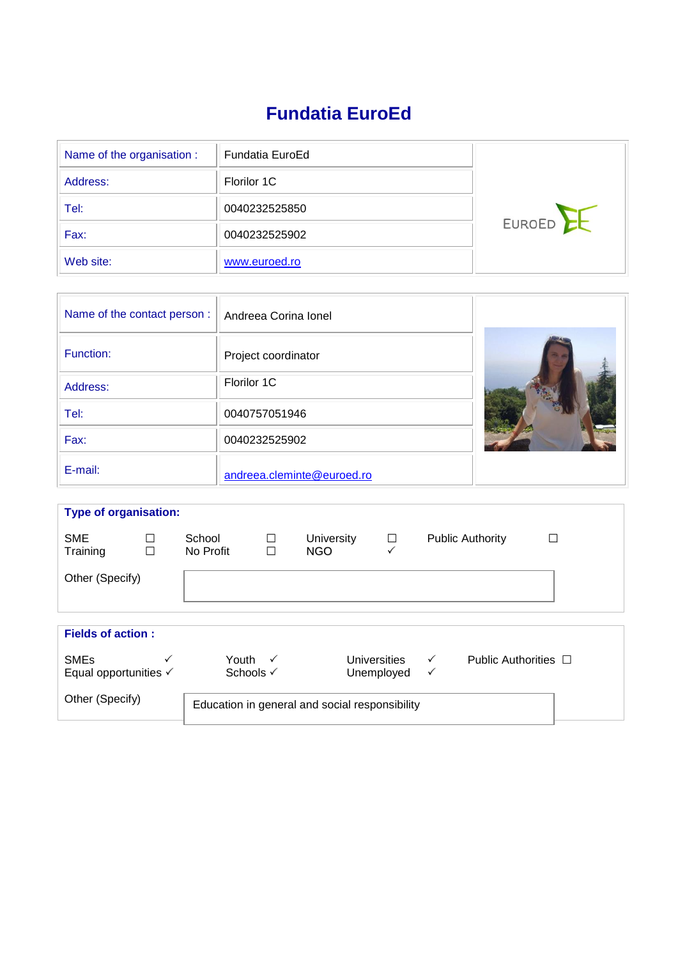# **Fundatia EuroEd**

| Name of the organisation : | Fundatia EuroEd |        |
|----------------------------|-----------------|--------|
| Address:                   | Florilor 1C     |        |
| Tel:                       | 0040232525850   |        |
| Fax:                       | 0040232525902   | EUROED |
| Web site:                  | www.euroed.ro   |        |

| Name of the contact person: | Andreea Corina Ionel       |  |
|-----------------------------|----------------------------|--|
| Function:                   | Project coordinator        |  |
| Address:                    | Florilor 1C                |  |
| Tel:                        | 0040757051946              |  |
| Fax:                        | 0040232525902              |  |
| E-mail:                     | andreea.cleminte@euroed.ro |  |

| <b>Type of organisation:</b>                    |             |                                                |                  |                            |             |                   |                           |   |
|-------------------------------------------------|-------------|------------------------------------------------|------------------|----------------------------|-------------|-------------------|---------------------------|---|
| <b>SME</b><br>Training                          | □<br>$\Box$ | School<br>No Profit                            | $\Box$<br>$\Box$ | <b>University</b><br>NGO   | $\Box$<br>✓ |                   | <b>Public Authority</b>   | T |
| Other (Specify)                                 |             |                                                |                  |                            |             |                   |                           |   |
| <b>Fields of action:</b>                        |             |                                                |                  |                            |             |                   |                           |   |
| <b>SMEs</b><br>Equal opportunities $\checkmark$ |             | Youth $\checkmark$<br>Schools √                |                  | Universities<br>Unemployed |             | $\checkmark$<br>✓ | Public Authorities $\Box$ |   |
| Other (Specify)                                 |             | Education in general and social responsibility |                  |                            |             |                   |                           |   |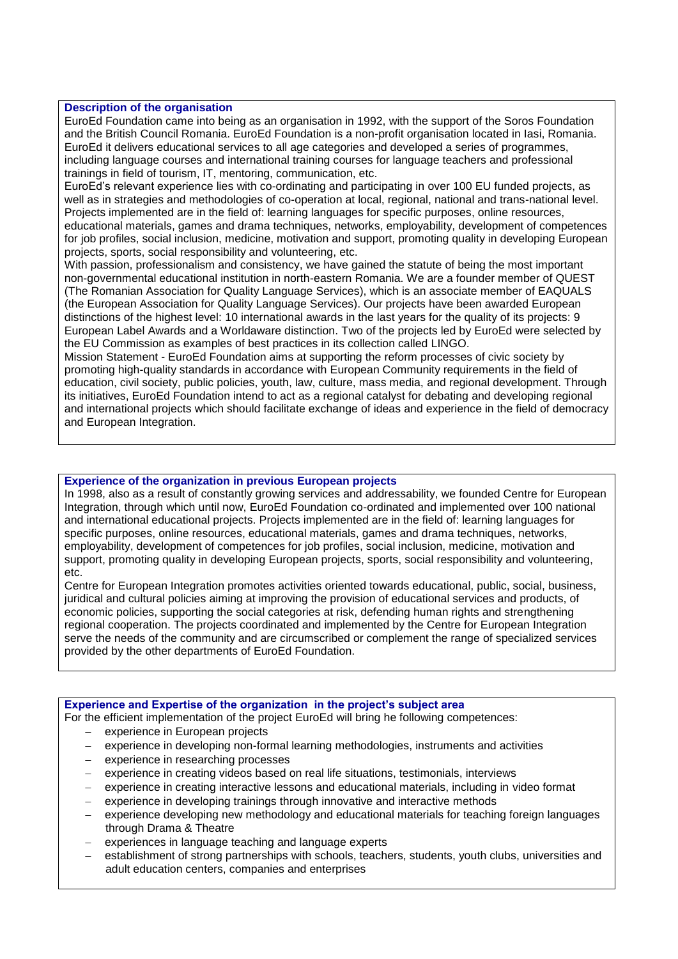## **Description of the organisation**

EuroEd Foundation came into being as an organisation in 1992, with the support of the Soros Foundation and the British Council Romania. EuroEd Foundation is a non-profit organisation located in Iasi, Romania. EuroEd it delivers educational services to all age categories and developed a series of programmes, including language courses and international training courses for language teachers and professional trainings in field of tourism, IT, mentoring, communication, etc.

EuroEd's relevant experience lies with co-ordinating and participating in over 100 EU funded projects, as well as in strategies and methodologies of co-operation at local, regional, national and trans-national level. Projects implemented are in the field of: learning languages for specific purposes, online resources, educational materials, games and drama techniques, networks, employability, development of competences for job profiles, social inclusion, medicine, motivation and support, promoting quality in developing European projects, sports, social responsibility and volunteering, etc.

With passion, professionalism and consistency, we have gained the statute of being the most important non-governmental educational institution in north-eastern Romania. We are a founder member of QUEST (The Romanian Association for Quality Language Services), which is an associate member of EAQUALS (the European Association for Quality Language Services). Our projects have been awarded European distinctions of the highest level: 10 international awards in the last years for the quality of its projects: 9 European Label Awards and a Worldaware distinction. Two of the projects led by EuroEd were selected by the EU Commission as examples of best practices in its collection called LINGO.

Mission Statement - EuroEd Foundation aims at supporting the reform processes of civic society by promoting high-quality standards in accordance with European Community requirements in the field of education, civil society, public policies, youth, law, culture, mass media, and regional development. Through its initiatives, EuroEd Foundation intend to act as a regional catalyst for debating and developing regional and international projects which should facilitate exchange of ideas and experience in the field of democracy and European Integration.

## **Experience of the organization in previous European projects**

In 1998, also as a result of constantly growing services and addressability, we founded Centre for European Integration, through which until now, EuroEd Foundation co-ordinated and implemented over 100 national and international educational projects. Projects implemented are in the field of: learning languages for specific purposes, online resources, educational materials, games and drama techniques, networks, employability, development of competences for job profiles, social inclusion, medicine, motivation and support, promoting quality in developing European projects, sports, social responsibility and volunteering, etc.

Centre for European Integration promotes activities oriented towards educational, public, social, business, juridical and cultural policies aiming at improving the provision of educational services and products, of economic policies, supporting the social categories at risk, defending human rights and strengthening regional cooperation. The projects coordinated and implemented by the Centre for European Integration serve the needs of the community and are circumscribed or complement the range of specialized services provided by the other departments of EuroEd Foundation.

|  | <b>Experience and Expertise of the organization in the project's subject area</b> |  |
|--|-----------------------------------------------------------------------------------|--|
|  |                                                                                   |  |

For the efficient implementation of the project EuroEd will bring he following competences:

- experience in European projects
- experience in developing non-formal learning methodologies, instruments and activities
- experience in researching processes
- experience in creating videos based on real life situations, testimonials, interviews
- experience in creating interactive lessons and educational materials, including in video format
- experience in developing trainings through innovative and interactive methods
- experience developing new methodology and educational materials for teaching foreign languages through Drama & Theatre
- experiences in language teaching and language experts
- establishment of strong partnerships with schools, teachers, students, youth clubs, universities and adult education centers, companies and enterprises